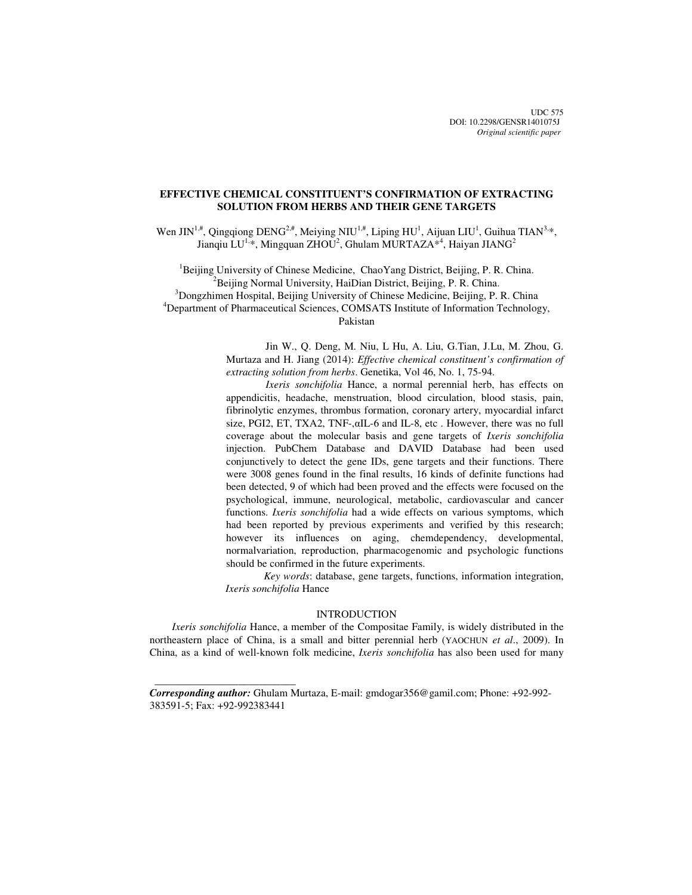UDC 575 DOI: 10.2298/GENSR1401075J *Original scientific paper*

# **EFFECTIVE CHEMICAL CONSTITUENT'S CONFIRMATION OF EXTRACTING SOLUTION FROM HERBS AND THEIR GENE TARGETS**

Wen JIN<sup>1,#</sup>, Qingqiong DENG<sup>2,#</sup>, Meiying NIU<sup>1,#</sup>, Liping HU<sup>1</sup>, Aijuan LIU<sup>1</sup>, Guihua TIAN<sup>3,\*</sup>, Jianqiu LU<sup>1,\*</sup>, Mingquan ZHOU<sup>2</sup>, Ghulam MURTAZA<sup>\*4</sup>, Haiyan JIANG<sup>2</sup>

 ${}^{1}$ Beijing University of Chinese Medicine, ChaoYang District, Beijing, P. R. China.  $2^2$ Beijing Normal University, HaiDian District, Beijing, P. R. China. <sup>3</sup>Dongzhimen Hospital, Beijing University of Chinese Medicine, Beijing, P. R. China <sup>4</sup>Department of Pharmaceutical Sciences, COMSATS Institute of Information Technology, Pakistan

> Jin W., Q. Deng, M. Niu, L Hu, A. Liu, G.Tian, J.Lu, M. Zhou, G. Murtaza and H. Jiang (2014): *Effective chemical constituent's confirmation of extracting solution from herbs*. Genetika, Vol 46, No. 1, 75-94.

> *Ixeris sonchifolia* Hance, a normal perennial herb, has effects on appendicitis, headache, menstruation, blood circulation, blood stasis, pain, fibrinolytic enzymes, thrombus formation, coronary artery, myocardial infarct size, PGI2, ET, TXA2, TNF-,αIL-6 and IL-8, etc . However, there was no full coverage about the molecular basis and gene targets of *Ixeris sonchifolia* injection. PubChem Database and DAVID Database had been used conjunctively to detect the gene IDs, gene targets and their functions. There were 3008 genes found in the final results, 16 kinds of definite functions had been detected, 9 of which had been proved and the effects were focused on the psychological, immune, neurological, metabolic, cardiovascular and cancer functions. *Ixeris sonchifolia* had a wide effects on various symptoms, which had been reported by previous experiments and verified by this research; however its influences on aging, chemdependency, developmental, normalvariation, reproduction, pharmacogenomic and psychologic functions should be confirmed in the future experiments.

> *Key words*: database, gene targets, functions, information integration, *Ixeris sonchifolia* Hance

### INTRODUCTION

*Ixeris sonchifolia* Hance, a member of the Compositae Family, is widely distributed in the northeastern place of China, is a small and bitter perennial herb (YAOCHUN *et al*., 2009). In China, as a kind of well-known folk medicine, *Ixeris sonchifolia* has also been used for many

 $\frac{1}{\sqrt{2\pi}}\left[\frac{1}{2(1-2\pi)^2}\left(1-\frac{1}{2(1-2\pi)^2}\left(1-\frac{1}{2(1-2\pi)^2}\right)\right)\right],$ 

*Corresponding author:* Ghulam Murtaza, E-mail: gmdogar356@gamil.com; Phone: +92-992- 383591-5; Fax: +92-992383441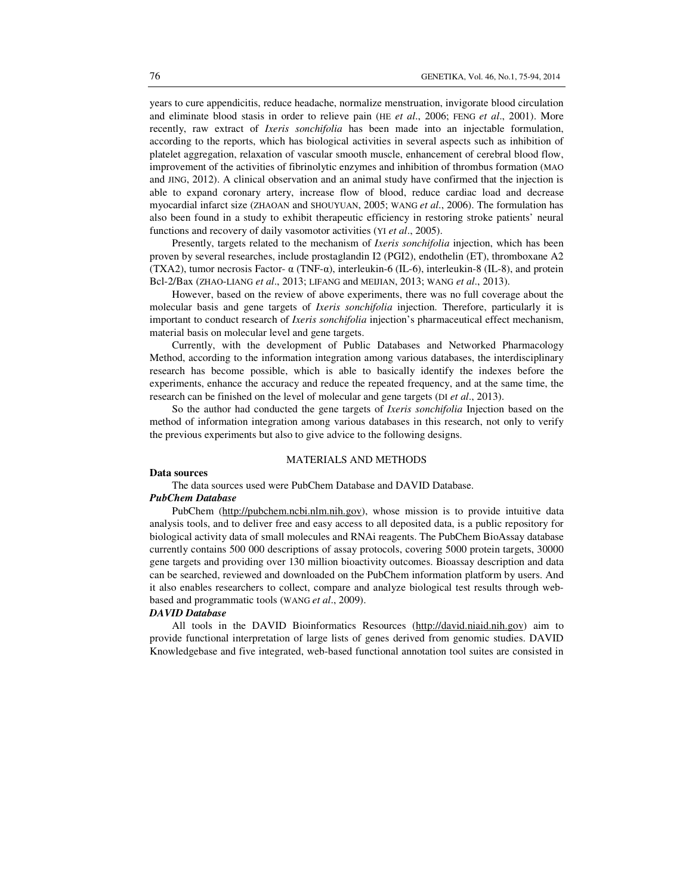years to cure appendicitis, reduce headache, normalize menstruation, invigorate blood circulation and eliminate blood stasis in order to relieve pain (HE *et al*., 2006; FENG *et al*., 2001). More recently, raw extract of *Ixeris sonchifolia* has been made into an injectable formulation, according to the reports, which has biological activities in several aspects such as inhibition of platelet aggregation, relaxation of vascular smooth muscle, enhancement of cerebral blood flow, improvement of the activities of fibrinolytic enzymes and inhibition of thrombus formation (MAO and JING, 2012). A clinical observation and an animal study have confirmed that the injection is able to expand coronary artery, increase flow of blood, reduce cardiac load and decrease myocardial infarct size (ZHAOAN and SHOUYUAN, 2005; WANG *et al*., 2006). The formulation has also been found in a study to exhibit therapeutic efficiency in restoring stroke patients' neural functions and recovery of daily vasomotor activities (YI *et al*., 2005).

Presently, targets related to the mechanism of *Ixeris sonchifolia* injection, which has been proven by several researches, include prostaglandin I2 (PGI2), endothelin (ET), thromboxane A2 (TXA2), tumor necrosis Factor-  $\alpha$  (TNF- $\alpha$ ), interleukin-6 (IL-6), interleukin-8 (IL-8), and protein Bcl-2/Bax (ZHAO-LIANG *et al*., 2013; LIFANG and MEIJIAN, 2013; WANG *et al*., 2013).

However, based on the review of above experiments, there was no full coverage about the molecular basis and gene targets of *Ixeris sonchifolia* injection. Therefore, particularly it is important to conduct research of *Ixeris sonchifolia* injection's pharmaceutical effect mechanism, material basis on molecular level and gene targets.

Currently, with the development of Public Databases and Networked Pharmacology Method, according to the information integration among various databases, the interdisciplinary research has become possible, which is able to basically identify the indexes before the experiments, enhance the accuracy and reduce the repeated frequency, and at the same time, the research can be finished on the level of molecular and gene targets (DI *et al*., 2013).

So the author had conducted the gene targets of *Ixeris sonchifolia* Injection based on the method of information integration among various databases in this research, not only to verify the previous experiments but also to give advice to the following designs.

### MATERIALS AND METHODS

### **Data sources**

The data sources used were PubChem Database and DAVID Database.

### *PubChem Database*

PubChem (http://pubchem.ncbi.nlm.nih.gov), whose mission is to provide intuitive data analysis tools, and to deliver free and easy access to all deposited data, is a public repository for biological activity data of small molecules and RNAi reagents. The PubChem BioAssay database currently contains 500 000 descriptions of assay protocols, covering 5000 protein targets, 30000 gene targets and providing over 130 million bioactivity outcomes. Bioassay description and data can be searched, reviewed and downloaded on the PubChem information platform by users. And it also enables researchers to collect, compare and analyze biological test results through webbased and programmatic tools (WANG *et al*., 2009).

### *DAVID Database*

All tools in the DAVID Bioinformatics Resources (http://david.niaid.nih.gov) aim to provide functional interpretation of large lists of genes derived from genomic studies. DAVID Knowledgebase and five integrated, web-based functional annotation tool suites are consisted in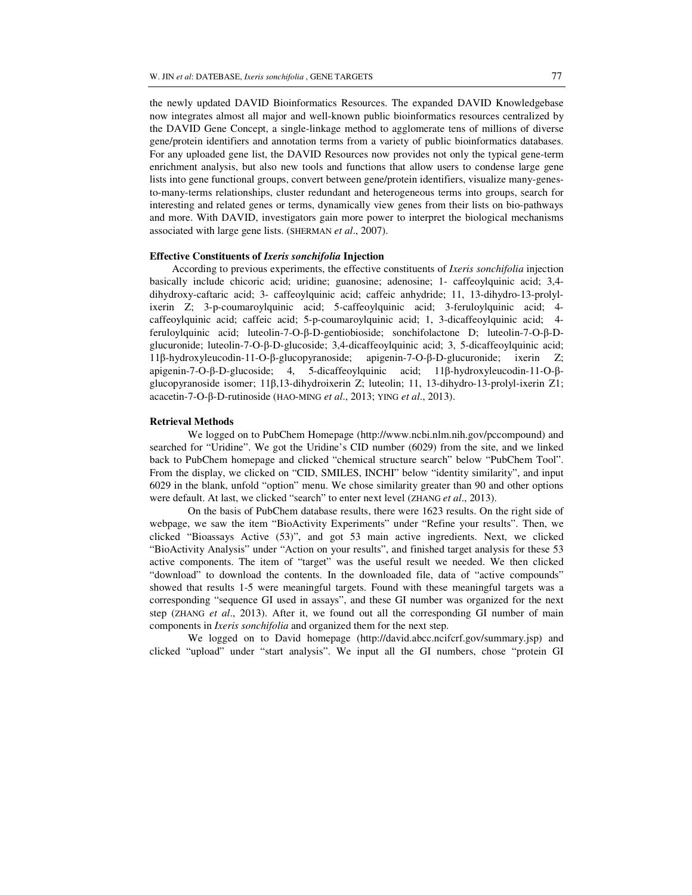the newly updated DAVID Bioinformatics Resources. The expanded DAVID Knowledgebase now integrates almost all major and well-known public bioinformatics resources centralized by the DAVID Gene Concept, a single-linkage method to agglomerate tens of millions of diverse gene/protein identifiers and annotation terms from a variety of public bioinformatics databases. For any uploaded gene list, the DAVID Resources now provides not only the typical gene-term enrichment analysis, but also new tools and functions that allow users to condense large gene lists into gene functional groups, convert between gene/protein identifiers, visualize many-genesto-many-terms relationships, cluster redundant and heterogeneous terms into groups, search for interesting and related genes or terms, dynamically view genes from their lists on bio-pathways and more. With DAVID, investigators gain more power to interpret the biological mechanisms associated with large gene lists. (SHERMAN *et al*., 2007).

### **Effective Constituents of** *Ixeris sonchifolia* **Injection**

According to previous experiments, the effective constituents of *Ixeris sonchifolia* injection basically include chicoric acid; uridine; guanosine; adenosine; 1- caffeoylquinic acid; 3,4 dihydroxy-caftaric acid; 3- caffeoylquinic acid; caffeic anhydride; 11, 13-dihydro-13-prolylixerin Z; 3-p-coumaroylquinic acid; 5-caffeoylquinic acid; 3-feruloylquinic acid; 4 caffeoylquinic acid; caffeic acid; 5-p-coumaroylquinic acid; 1, 3-dicaffeoylquinic acid; 4 feruloylquinic acid; luteolin-7-O-β-D-gentiobioside; sonchifolactone D; luteolin-7-O-β-Dglucuronide; luteolin-7-O-β-D-glucoside; 3,4-dicaffeoylquinic acid; 3, 5-dicaffeoylquinic acid; 11β-hydroxyleucodin-11-O-β-glucopyranoside; apigenin-7-O-β-D-glucuronide; ixerin Z; apigenin-7-O-β-D-glucoside; 4, 5-dicaffeoylquinic acid; 11β-hydroxyleucodin-11-O-βglucopyranoside isomer; 11β,13-dihydroixerin Z; luteolin; 11, 13-dihydro-13-prolyl-ixerin Z1; acacetin-7-O-β-D-rutinoside (HAO-MING *et al*., 2013; YING *et al*., 2013).

## **Retrieval Methods**

 We logged on to PubChem Homepage (http://www.ncbi.nlm.nih.gov/pccompound) and searched for "Uridine". We got the Uridine's CID number (6029) from the site, and we linked back to PubChem homepage and clicked "chemical structure search" below "PubChem Tool". From the display, we clicked on "CID, SMILES, INCHI" below "identity similarity", and input 6029 in the blank, unfold "option" menu. We chose similarity greater than 90 and other options were default. At last, we clicked "search" to enter next level (ZHANG *et al*., 2013).

On the basis of PubChem database results, there were 1623 results. On the right side of webpage, we saw the item "BioActivity Experiments" under "Refine your results". Then, we clicked "Bioassays Active (53)", and got 53 main active ingredients. Next, we clicked "BioActivity Analysis" under "Action on your results", and finished target analysis for these 53 active components. The item of "target" was the useful result we needed. We then clicked "download" to download the contents. In the downloaded file, data of "active compounds" showed that results 1-5 were meaningful targets. Found with these meaningful targets was a corresponding "sequence GI used in assays", and these GI number was organized for the next step (ZHANG *et al*., 2013). After it, we found out all the corresponding GI number of main components in *Ixeris sonchifolia* and organized them for the next step.

We logged on to David homepage (http://david.abcc.ncifcrf.gov/summary.jsp) and clicked "upload" under "start analysis". We input all the GI numbers, chose "protein GI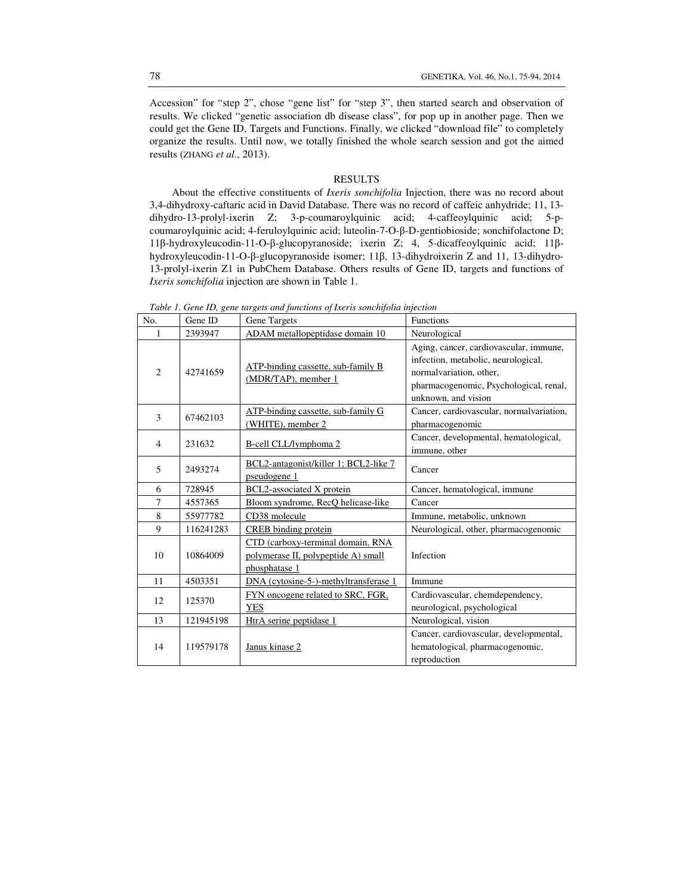Accession" for "step 2", chose "gene list" for "step 3", then started search and observation of results. We clicked "genetic association db disease class", for pop up in another page. Then we could get the Gene ID, Targets and Functions. Finally, we clicked "download file" to completely organize the results. Until now, we totally finished the whole search session and got the aimed results (ZHANG *et al*., 2013).

## RESULTS

About the effective constituents of *Ixeris sonchifolia* Injection, there was no record about 3,4-dihydroxy-caftaric acid in David Database. There was no record of caffeic anhydride; 11, 13 dihydro-13-prolyl-ixerin Z; 3-p-coumaroylquinic acid; 4-caffeoylquinic acid; 5-pcoumaroylquinic acid; 4-feruloylquinic acid; luteolin-7-O-β-D-gentiobioside; sonchifolactone D; 11β-hydroxyleucodin-11-O-β-glucopyranoside; ixerin Z; 4, 5-dicaffeoylquinic acid; 11βhydroxyleucodin-11-O-β-glucopyranoside isomer; 11β, 13-dihydroixerin Z and 11, 13-dihydro-13-prolyl-ixerin Z1 in PubChem Database. Others results of Gene ID, targets and functions of *Ixeris sonchifolia* injection are shown in Table 1.

|                |           | rache II Sene III, zene ha zelo ana junenolo oj men lo senemjena injecilom                |                                                                                                                                                                           |
|----------------|-----------|-------------------------------------------------------------------------------------------|---------------------------------------------------------------------------------------------------------------------------------------------------------------------------|
| No.            | Gene ID   | Gene Targets                                                                              | <b>Functions</b>                                                                                                                                                          |
| $\mathbf{1}$   | 2393947   | ADAM metallopeptidase domain 10                                                           | Neurological                                                                                                                                                              |
| $\overline{2}$ | 42741659  | ATP-binding cassette, sub-family B<br>(MDR/TAP), member 1                                 | Aging, cancer, cardiovascular, immune,<br>infection, metabolic, neurological,<br>normalvariation, other,<br>pharmacogenomic, Psychological, renal,<br>unknown, and vision |
| 3              | 67462103  | ATP-binding cassette, sub-family G<br>(WHITE), member 2                                   | Cancer, cardiovascular, normalvariation,<br>pharmacogenomic                                                                                                               |
| $\overline{4}$ | 231632    | B-cell CLL/lymphoma 2                                                                     | Cancer, developmental, hematological,<br>immune, other                                                                                                                    |
| 5              | 2493274   | BCL2-antagonist/killer 1; BCL2-like 7<br>pseudogene 1                                     | Cancer                                                                                                                                                                    |
| 6              | 728945    | <b>BCL2-associated X protein</b>                                                          | Cancer, hematological, immune                                                                                                                                             |
| 7              | 4557365   | Bloom syndrome, RecQ helicase-like                                                        | Cancer                                                                                                                                                                    |
| 8              | 55977782  | CD38 molecule                                                                             | Immune, metabolic, unknown                                                                                                                                                |
| 9              | 116241283 | CREB binding protein                                                                      | Neurological, other, pharmacogenomic                                                                                                                                      |
| 10             | 10864009  | CTD (carboxy-terminal domain, RNA<br>polymerase II, polypeptide A) small<br>phosphatase 1 | Infection                                                                                                                                                                 |
| 11             | 4503351   | DNA (cytosine-5-)-methyltransferase 1                                                     | Immune                                                                                                                                                                    |
| 12             | 125370    | FYN oncogene related to SRC, FGR,<br><b>YES</b>                                           | Cardiovascular, chemdependency,<br>neurological, psychological                                                                                                            |
| 13             | 121945198 | HtrA serine peptidase 1                                                                   | Neurological, vision                                                                                                                                                      |
| 14             | 119579178 | Janus kinase 2                                                                            | Cancer, cardiovascular, developmental,<br>hematological, pharmacogenomic,<br>reproduction                                                                                 |

*Table 1. Gene ID, gene targets and functions of Ixeris sonchifolia injection*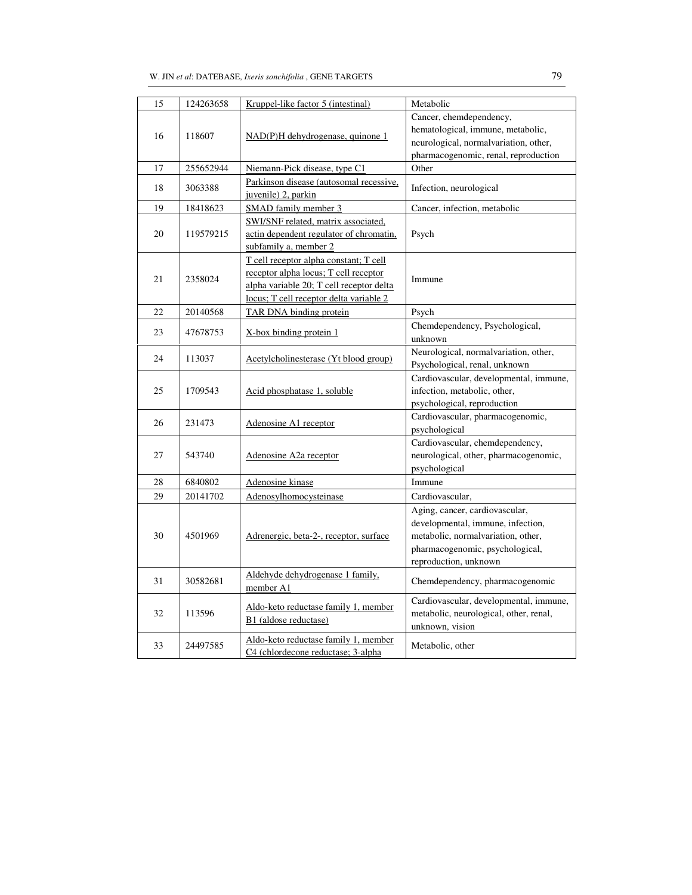| 15 | 124263658 | Kruppel-like factor 5 (intestinal)                                                                                                                                     | Metabolic                                                                                                                                                             |
|----|-----------|------------------------------------------------------------------------------------------------------------------------------------------------------------------------|-----------------------------------------------------------------------------------------------------------------------------------------------------------------------|
| 16 | 118607    | $NAD(P)H$ dehydrogenase, quinone 1                                                                                                                                     | Cancer, chemdependency,<br>hematological, immune, metabolic,<br>neurological, normalvariation, other,<br>pharmacogenomic, renal, reproduction                         |
| 17 | 255652944 | Niemann-Pick disease, type C1                                                                                                                                          | Other                                                                                                                                                                 |
| 18 | 3063388   | Parkinson disease (autosomal recessive,<br>juvenile) 2, parkin                                                                                                         | Infection, neurological                                                                                                                                               |
| 19 | 18418623  | SMAD family member 3                                                                                                                                                   | Cancer, infection, metabolic                                                                                                                                          |
| 20 | 119579215 | SWI/SNF related, matrix associated,<br>actin dependent regulator of chromatin,<br>subfamily a, member 2                                                                | Psych                                                                                                                                                                 |
| 21 | 2358024   | T cell receptor alpha constant; T cell<br>receptor alpha locus; T cell receptor<br>alpha variable 20; T cell receptor delta<br>locus; T cell receptor delta variable 2 | Immune                                                                                                                                                                |
| 22 | 20140568  | TAR DNA binding protein                                                                                                                                                | Psych                                                                                                                                                                 |
| 23 | 47678753  | X-box binding protein 1                                                                                                                                                | Chemdependency, Psychological,<br>unknown                                                                                                                             |
| 24 | 113037    | Acetylcholinesterase (Yt blood group)                                                                                                                                  | Neurological, normalvariation, other,<br>Psychological, renal, unknown                                                                                                |
| 25 | 1709543   | Acid phosphatase 1, soluble                                                                                                                                            | Cardiovascular, developmental, immune,<br>infection, metabolic, other,<br>psychological, reproduction                                                                 |
| 26 | 231473    | Adenosine A1 receptor                                                                                                                                                  | Cardiovascular, pharmacogenomic,<br>psychological                                                                                                                     |
| 27 | 543740    | Adenosine A2a receptor                                                                                                                                                 | Cardiovascular, chemdependency,<br>neurological, other, pharmacogenomic,<br>psychological                                                                             |
| 28 | 6840802   | Adenosine kinase                                                                                                                                                       | Immune                                                                                                                                                                |
| 29 | 20141702  | Adenosylhomocysteinase                                                                                                                                                 | Cardiovascular,                                                                                                                                                       |
| 30 | 4501969   | Adrenergic, beta-2-, receptor, surface                                                                                                                                 | Aging, cancer, cardiovascular,<br>developmental, immune, infection,<br>metabolic, normalvariation, other,<br>pharmacogenomic, psychological,<br>reproduction, unknown |
| 31 | 30582681  | Aldehyde dehydrogenase 1 family,<br>member A1                                                                                                                          | Chemdependency, pharmacogenomic                                                                                                                                       |
| 32 | 113596    | Aldo-keto reductase family 1, member<br>B1 (aldose reductase)                                                                                                          | Cardiovascular, developmental, immune,<br>metabolic, neurological, other, renal,<br>unknown, vision                                                                   |
| 33 | 24497585  | Aldo-keto reductase family 1, member<br>C4 (chlordecone reductase; 3-alpha                                                                                             | Metabolic, other                                                                                                                                                      |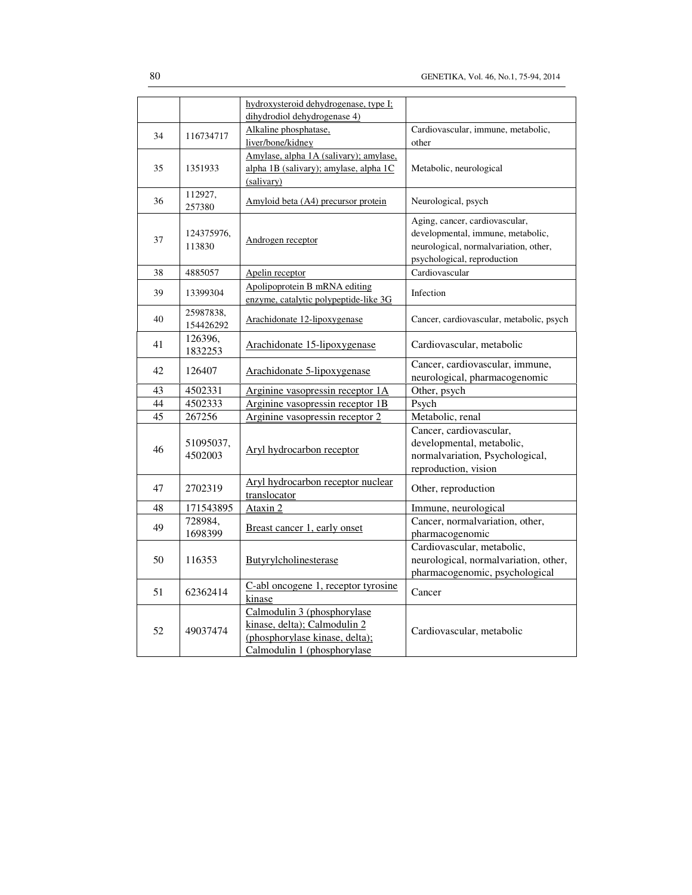|    |                      | hydroxysteroid dehydrogenase, type I;  |                                          |
|----|----------------------|----------------------------------------|------------------------------------------|
|    |                      | dihydrodiol dehydrogenase 4)           |                                          |
| 34 | 116734717            | Alkaline phosphatase,                  | Cardiovascular, immune, metabolic,       |
|    |                      | liver/bone/kidney                      | other                                    |
|    |                      | Amylase, alpha 1A (salivary); amylase, |                                          |
| 35 | 1351933              | alpha 1B (salivary); amylase, alpha 1C | Metabolic, neurological                  |
|    |                      | (salivary)                             |                                          |
| 36 | 112927,<br>257380    | Amyloid beta (A4) precursor protein    | Neurological, psych                      |
|    |                      |                                        | Aging, cancer, cardiovascular,           |
|    | 124375976,           |                                        | developmental, immune, metabolic,        |
| 37 | 113830               | Androgen receptor                      | neurological, normalvariation, other,    |
|    |                      |                                        | psychological, reproduction              |
| 38 | 4885057              | Apelin receptor                        | Cardiovascular                           |
|    |                      |                                        |                                          |
| 39 | 13399304             | Apolipoprotein B mRNA editing          | Infection                                |
|    |                      | enzyme, catalytic polypeptide-like 3G  |                                          |
| 40 | 25987838.            | Arachidonate 12-lipoxygenase           | Cancer, cardiovascular, metabolic, psych |
|    | 154426292            |                                        |                                          |
| 41 | 126396,              | Arachidonate 15-lipoxygenase           | Cardiovascular, metabolic                |
|    | 1832253              |                                        |                                          |
| 42 | 126407               | Arachidonate 5-lipoxygenase            | Cancer, cardiovascular, immune,          |
|    |                      |                                        | neurological, pharmacogenomic            |
| 43 | 4502331              | Arginine vasopressin receptor 1A       | Other, psych                             |
| 44 | 4502333              | Arginine vasopressin receptor 1B       | Psych                                    |
| 45 | 267256               | Arginine vasopressin receptor 2        | Metabolic, renal                         |
|    |                      | Aryl hydrocarbon receptor              | Cancer, cardiovascular,                  |
| 46 | 51095037,<br>4502003 |                                        | developmental, metabolic,                |
|    |                      |                                        | normalvariation, Psychological,          |
|    |                      |                                        | reproduction, vision                     |
|    |                      | Aryl hydrocarbon receptor nuclear      |                                          |
| 47 | 2702319              | translocator                           | Other, reproduction                      |
| 48 | 171543895            | Ataxin 2                               | Immune, neurological                     |
|    | 728984,              |                                        | Cancer, normalvariation, other,          |
| 49 | 1698399              | Breast cancer 1, early onset           | pharmacogenomic                          |
|    |                      |                                        | Cardiovascular, metabolic,               |
| 50 | 116353               | Butyrylcholinesterase                  | neurological, normalvariation, other,    |
|    |                      |                                        | pharmacogenomic, psychological           |
|    |                      | C-abl oncogene 1, receptor tyrosine    |                                          |
| 51 | 62362414             | kinase                                 | Cancer                                   |
|    |                      | Calmodulin 3 (phosphorylase            |                                          |
|    |                      | kinase, delta); Calmodulin 2           |                                          |
| 52 | 49037474             | (phosphorylase kinase, delta);         | Cardiovascular, metabolic                |
|    |                      | Calmodulin 1 (phosphorylase            |                                          |
|    |                      |                                        |                                          |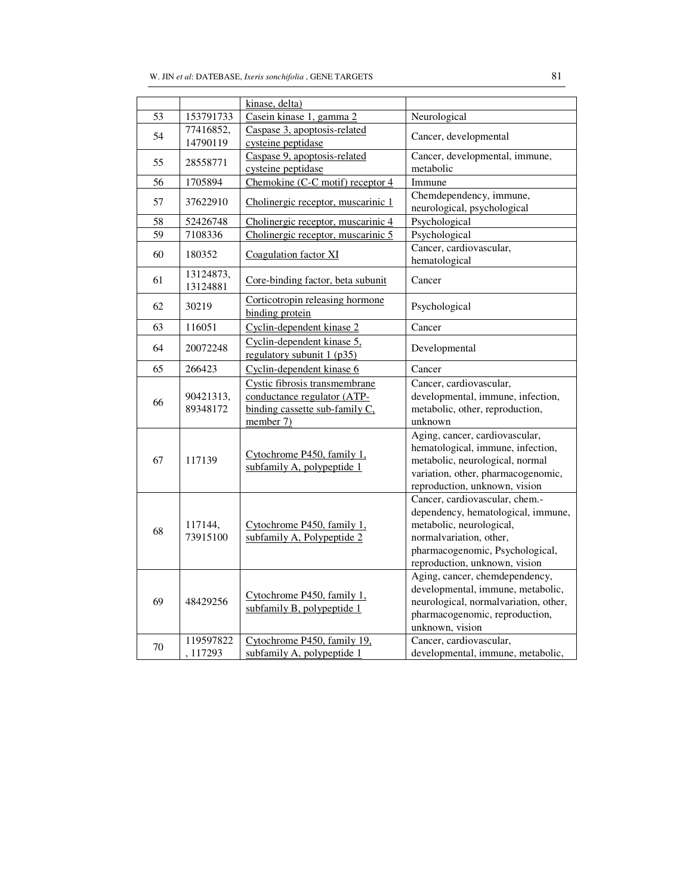|                 | kinase, delta)        |                                                                                         |                                                                                                                                                                                                 |
|-----------------|-----------------------|-----------------------------------------------------------------------------------------|-------------------------------------------------------------------------------------------------------------------------------------------------------------------------------------------------|
| 53              | 153791733             | Casein kinase 1, gamma 2                                                                | Neurological                                                                                                                                                                                    |
| 54              | 77416852,<br>14790119 | Caspase 3, apoptosis-related<br>cysteine peptidase                                      | Cancer, developmental                                                                                                                                                                           |
| 55              | 28558771              | Caspase 9, apoptosis-related<br>cysteine peptidase                                      | Cancer, developmental, immune,<br>metabolic                                                                                                                                                     |
| 56              | 1705894               | Chemokine (C-C motif) receptor 4                                                        | Immune                                                                                                                                                                                          |
| 57              | 37622910              | Cholinergic receptor, muscarinic 1                                                      | Chemdependency, immune,<br>neurological, psychological                                                                                                                                          |
| 58              | 52426748              | Cholinergic receptor, muscarinic 4                                                      | Psychological                                                                                                                                                                                   |
| $\overline{59}$ | 7108336               | Cholinergic receptor, muscarinic 5                                                      | Psychological                                                                                                                                                                                   |
| 60              | 180352                | Coagulation factor XI                                                                   | Cancer, cardiovascular,<br>hematological                                                                                                                                                        |
| 61              | 13124873,<br>13124881 | Core-binding factor, beta subunit                                                       | Cancer                                                                                                                                                                                          |
| 62              | 30219                 | Corticotropin releasing hormone<br>binding protein                                      | Psychological                                                                                                                                                                                   |
| 63              | 116051                | Cyclin-dependent kinase 2                                                               | Cancer                                                                                                                                                                                          |
| 64              | 20072248              | Cyclin-dependent kinase 5,<br>regulatory subunit $1$ (p35)                              | Developmental                                                                                                                                                                                   |
| 65              | 266423                | Cyclin-dependent kinase 6                                                               | Cancer                                                                                                                                                                                          |
| 66              | 90421313,             | Cystic fibrosis transmembrane<br>conductance regulator (ATP-                            | Cancer, cardiovascular,<br>developmental, immune, infection,                                                                                                                                    |
|                 | 89348172              | binding cassette sub-family C.<br>member $7$ )                                          | metabolic, other, reproduction,<br>unknown                                                                                                                                                      |
| 67              | 117139                | Cytochrome P450, family 1,<br>subfamily A, polypeptide 1                                | Aging, cancer, cardiovascular,<br>hematological, immune, infection,<br>metabolic, neurological, normal<br>variation, other, pharmacogenomic,<br>reproduction, unknown, vision                   |
| 68              | 117144.<br>73915100   | Cytochrome P450, family 1,<br>subfamily A, Polypeptide 2                                | Cancer, cardiovascular, chem.-<br>dependency, hematological, immune,<br>metabolic, neurological,<br>normalvariation, other,<br>pharmacogenomic, Psychological,<br>reproduction, unknown, vision |
| 69              | 48429256<br>119597822 | Cytochrome P450, family 1,<br>subfamily B, polypeptide 1<br>Cytochrome P450, family 19, | Aging, cancer, chemdependency,<br>developmental, immune, metabolic,<br>neurological, normalvariation, other,<br>pharmacogenomic, reproduction,<br>unknown, vision<br>Cancer, cardiovascular,    |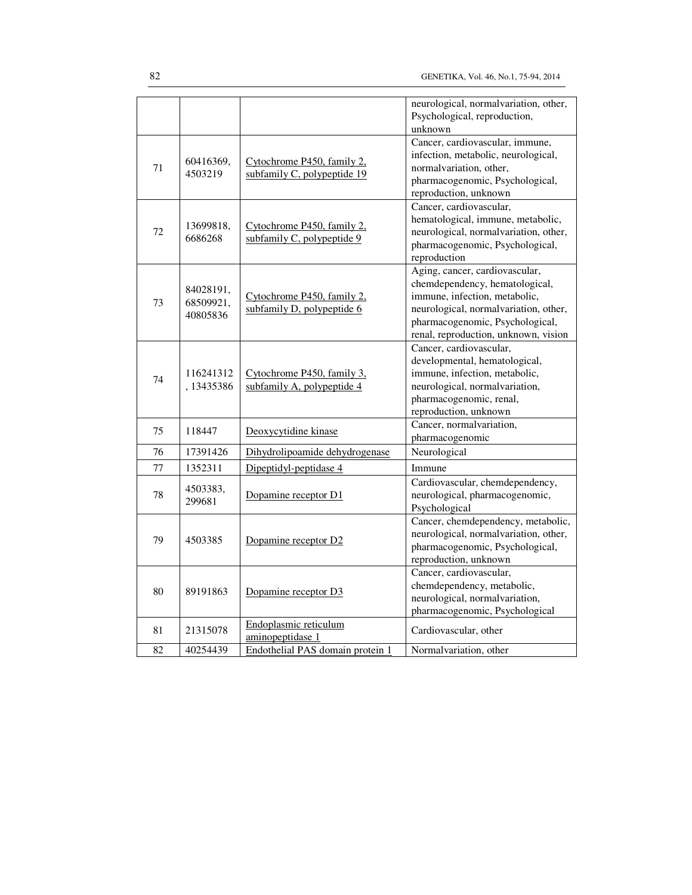|    |                                    |                                                           | neurological, normalvariation, other,<br>Psychological, reproduction,<br>unknown                                                                                                                                      |
|----|------------------------------------|-----------------------------------------------------------|-----------------------------------------------------------------------------------------------------------------------------------------------------------------------------------------------------------------------|
| 71 | 60416369,<br>4503219               | Cytochrome P450, family 2,<br>subfamily C, polypeptide 19 | Cancer, cardiovascular, immune,<br>infection, metabolic, neurological,<br>normalvariation, other,<br>pharmacogenomic, Psychological,<br>reproduction, unknown                                                         |
| 72 | 13699818,<br>6686268               | Cytochrome P450, family 2,<br>subfamily C, polypeptide 9  | Cancer, cardiovascular,<br>hematological, immune, metabolic,<br>neurological, normalvariation, other,<br>pharmacogenomic, Psychological,<br>reproduction                                                              |
| 73 | 84028191,<br>68509921,<br>40805836 | Cytochrome P450, family 2.<br>subfamily D, polypeptide 6  | Aging, cancer, cardiovascular,<br>chemdependency, hematological,<br>immune, infection, metabolic,<br>neurological, normalvariation, other,<br>pharmacogenomic, Psychological,<br>renal, reproduction, unknown, vision |
| 74 | 116241312<br>, 13435386            | Cytochrome P450, family 3.<br>subfamily A, polypeptide 4  | Cancer, cardiovascular,<br>developmental, hematological,<br>immune, infection, metabolic,<br>neurological, normalvariation,<br>pharmacogenomic, renal,<br>reproduction, unknown                                       |
| 75 | 118447                             | Deoxycytidine kinase                                      | Cancer, normalvariation,<br>pharmacogenomic                                                                                                                                                                           |
| 76 | 17391426                           | Dihydrolipoamide dehydrogenase                            | Neurological                                                                                                                                                                                                          |
| 77 | 1352311                            | Dipeptidyl-peptidase 4                                    | Immune                                                                                                                                                                                                                |
| 78 | 4503383,<br>299681                 | Dopamine receptor D1                                      | Cardiovascular, chemdependency,<br>neurological, pharmacogenomic,<br>Psychological                                                                                                                                    |
| 79 | 4503385                            | Dopamine receptor D2                                      | Cancer, chemdependency, metabolic,<br>neurological, normalvariation, other,<br>pharmacogenomic, Psychological,<br>reproduction, unknown                                                                               |
| 80 | 89191863                           | Dopamine receptor D3                                      | Cancer, cardiovascular,<br>chemdependency, metabolic,<br>neurological, normalvariation,<br>pharmacogenomic, Psychological                                                                                             |
| 81 | 21315078                           | Endoplasmic reticulum<br>aminopeptidase 1                 | Cardiovascular, other                                                                                                                                                                                                 |
| 82 | 40254439                           | Endothelial PAS domain protein 1                          | Normal variation, other                                                                                                                                                                                               |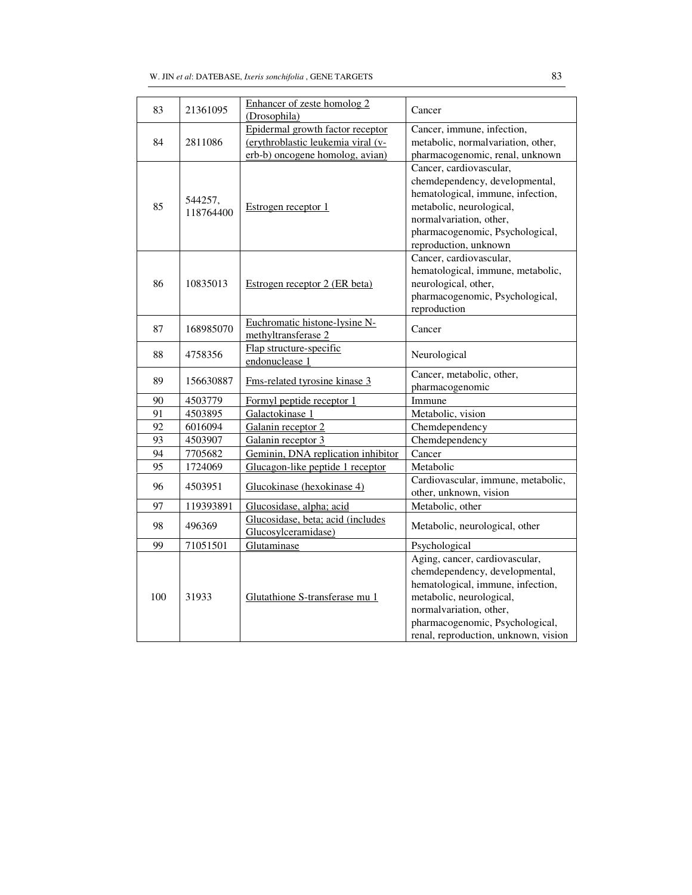| 83  | 21361095             | Enhancer of zeste homolog 2<br>(Drosophila)                                                               | Cancer                                                                                                                                                                                                                                  |
|-----|----------------------|-----------------------------------------------------------------------------------------------------------|-----------------------------------------------------------------------------------------------------------------------------------------------------------------------------------------------------------------------------------------|
| 84  | 2811086              | Epidermal growth factor receptor<br>(erythroblastic leukemia viral (v-<br>erb-b) oncogene homolog, avian) | Cancer, immune, infection,<br>metabolic, normalvariation, other,<br>pharmacogenomic, renal, unknown                                                                                                                                     |
| 85  | 544257,<br>118764400 | Estrogen receptor 1                                                                                       | Cancer, cardiovascular,<br>chemdependency, developmental,<br>hematological, immune, infection,<br>metabolic, neurological,<br>normalvariation, other,<br>pharmacogenomic, Psychological,<br>reproduction, unknown                       |
| 86  | 10835013             | Estrogen receptor 2 (ER beta)                                                                             | Cancer, cardiovascular,<br>hematological, immune, metabolic,<br>neurological, other,<br>pharmacogenomic, Psychological,<br>reproduction                                                                                                 |
| 87  | 168985070            | Euchromatic histone-lysine N-<br>methyltransferase 2                                                      | Cancer                                                                                                                                                                                                                                  |
| 88  | 4758356              | Flap structure-specific<br>endonuclease 1                                                                 | Neurological                                                                                                                                                                                                                            |
| 89  | 156630887            | Fms-related tyrosine kinase 3                                                                             | Cancer, metabolic, other,<br>pharmacogenomic                                                                                                                                                                                            |
| 90  | 4503779              | Formyl peptide receptor 1                                                                                 | Immune                                                                                                                                                                                                                                  |
| 91  | 4503895              | Galactokinase 1                                                                                           | Metabolic, vision                                                                                                                                                                                                                       |
| 92  | 6016094              | Galanin receptor 2                                                                                        | Chemdependency                                                                                                                                                                                                                          |
| 93  | 4503907              | Galanin receptor 3                                                                                        | Chemdependency                                                                                                                                                                                                                          |
| 94  | 7705682              | Geminin, DNA replication inhibitor                                                                        | Cancer                                                                                                                                                                                                                                  |
| 95  | 1724069              | Glucagon-like peptide 1 receptor                                                                          | Metabolic                                                                                                                                                                                                                               |
| 96  | 4503951              | Glucokinase (hexokinase 4)                                                                                | Cardiovascular, immune, metabolic,<br>other, unknown, vision                                                                                                                                                                            |
| 97  | 119393891            | Glucosidase, alpha; acid                                                                                  | Metabolic, other                                                                                                                                                                                                                        |
| 98  | 496369               | Glucosidase, beta; acid (includes<br>Glucosylceramidase)                                                  | Metabolic, neurological, other                                                                                                                                                                                                          |
| 99  | 71051501             | Glutaminase                                                                                               | Psychological                                                                                                                                                                                                                           |
| 100 | 31933                | Glutathione S-transferase mu 1                                                                            | Aging, cancer, cardiovascular,<br>chemdependency, developmental,<br>hematological, immune, infection,<br>metabolic, neurological,<br>normalvariation, other,<br>pharmacogenomic, Psychological,<br>renal, reproduction, unknown, vision |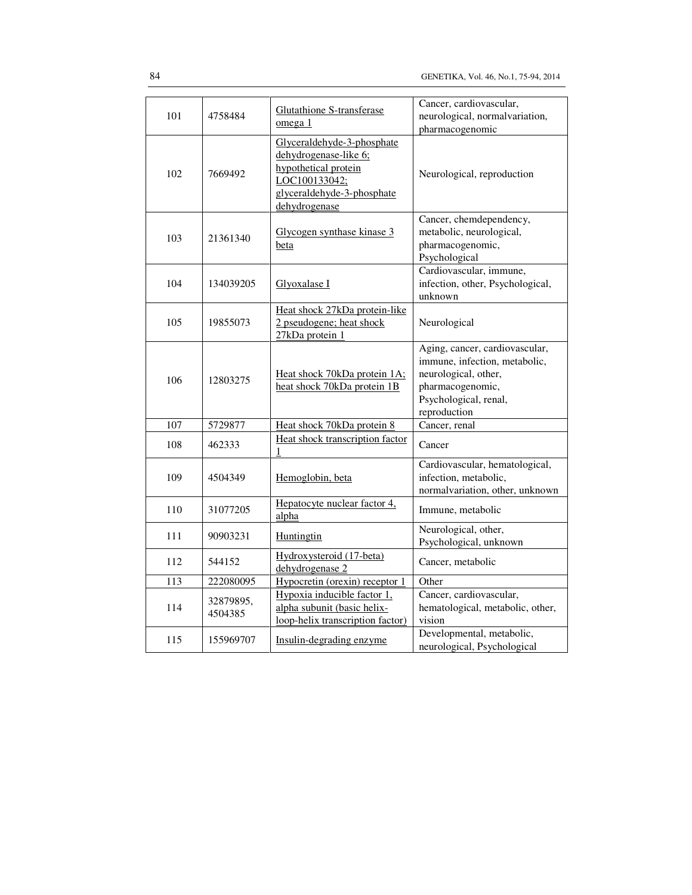| 101 | 4758484              | <b>Glutathione S-transferase</b><br>omega 1                                                                                                 | Cancer, cardiovascular,<br>neurological, normalvariation,<br>pharmacogenomic                                                                         |
|-----|----------------------|---------------------------------------------------------------------------------------------------------------------------------------------|------------------------------------------------------------------------------------------------------------------------------------------------------|
| 102 | 7669492              | Glyceraldehyde-3-phosphate<br>dehydrogenase-like 6;<br>hypothetical protein<br>LOC100133042;<br>glyceraldehyde-3-phosphate<br>dehydrogenase | Neurological, reproduction                                                                                                                           |
| 103 | 21361340             | Glycogen synthase kinase 3<br>beta                                                                                                          | Cancer, chemdependency,<br>metabolic, neurological,<br>pharmacogenomic,<br>Psychological                                                             |
| 104 | 134039205            | Glyoxalase I                                                                                                                                | Cardiovascular, immune,<br>infection, other, Psychological,<br>unknown                                                                               |
| 105 | 19855073             | Heat shock 27kDa protein-like<br>2 pseudogene; heat shock<br>27kDa protein 1                                                                | Neurological                                                                                                                                         |
| 106 | 12803275             | Heat shock 70kDa protein 1A:<br>heat shock 70kDa protein 1B                                                                                 | Aging, cancer, cardiovascular,<br>immune, infection, metabolic,<br>neurological, other,<br>pharmacogenomic,<br>Psychological, renal,<br>reproduction |
| 107 | 5729877              | Heat shock 70kDa protein 8                                                                                                                  | Cancer, renal                                                                                                                                        |
| 108 | 462333               | Heat shock transcription factor<br>1                                                                                                        | Cancer                                                                                                                                               |
| 109 | 4504349              | Hemoglobin, beta                                                                                                                            | Cardiovascular, hematological,<br>infection, metabolic,<br>normalvariation, other, unknown                                                           |
| 110 | 31077205             | Hepatocyte nuclear factor 4,<br>alpha                                                                                                       | Immune, metabolic                                                                                                                                    |
| 111 | 90903231             | Huntingtin                                                                                                                                  | Neurological, other,<br>Psychological, unknown                                                                                                       |
| 112 | 544152               | Hydroxysteroid (17-beta)<br>dehydrogenase 2                                                                                                 | Cancer, metabolic                                                                                                                                    |
| 113 | 222080095            | Hypocretin (orexin) receptor 1                                                                                                              | Other                                                                                                                                                |
| 114 | 32879895,<br>4504385 | Hypoxia inducible factor 1,<br>alpha subunit (basic helix-<br>loop-helix transcription factor)                                              | Cancer, cardiovascular,<br>hematological, metabolic, other,<br>vision                                                                                |
| 115 | 155969707            | Insulin-degrading enzyme                                                                                                                    | Developmental, metabolic,<br>neurological, Psychological                                                                                             |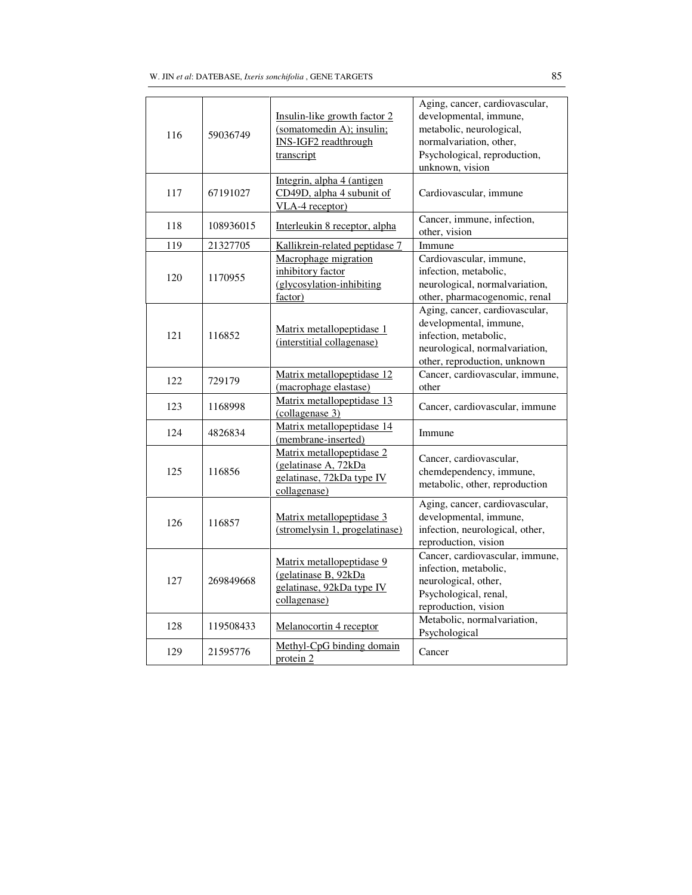| 116 | 59036749  | Insulin-like growth factor 2<br>(somatomedin A); insulin;<br><b>INS-IGF2</b> readthrough<br>transcript | Aging, cancer, cardiovascular,<br>developmental, immune,<br>metabolic, neurological,<br>normalvariation, other,<br>Psychological, reproduction,<br>unknown, vision |
|-----|-----------|--------------------------------------------------------------------------------------------------------|--------------------------------------------------------------------------------------------------------------------------------------------------------------------|
| 117 | 67191027  | Integrin, alpha 4 (antigen<br>CD49D, alpha 4 subunit of<br>VLA-4 receptor)                             | Cardiovascular, immune                                                                                                                                             |
| 118 | 108936015 | Interleukin 8 receptor, alpha                                                                          | Cancer, immune, infection,<br>other, vision                                                                                                                        |
| 119 | 21327705  | Kallikrein-related peptidase 7                                                                         | Immune                                                                                                                                                             |
| 120 | 1170955   | Macrophage migration<br>inhibitory factor<br>(glycosylation-inhibiting<br>factor)                      | Cardiovascular, immune,<br>infection, metabolic,<br>neurological, normalvariation,<br>other, pharmacogenomic, renal                                                |
| 121 | 116852    | Matrix metallopeptidase 1<br>(interstitial collagenase)                                                | Aging, cancer, cardiovascular,<br>developmental, immune,<br>infection, metabolic,<br>neurological, normalvariation,<br>other, reproduction, unknown                |
| 122 | 729179    | Matrix metallopeptidase 12<br>(macrophage elastase)                                                    | Cancer, cardiovascular, immune,<br>other                                                                                                                           |
| 123 | 1168998   | Matrix metallopeptidase 13<br>(collagenase 3)                                                          | Cancer, cardiovascular, immune                                                                                                                                     |
| 124 | 4826834   | Matrix metallopeptidase 14<br>(membrane-inserted)                                                      | Immune                                                                                                                                                             |
| 125 | 116856    | Matrix metallopeptidase 2<br>(gelatinase A, 72kDa<br>gelatinase, 72kDa type IV<br>collagenase)         | Cancer, cardiovascular,<br>chemdependency, immune,<br>metabolic, other, reproduction                                                                               |
| 126 | 116857    | Matrix metallopeptidase 3<br>(stromelysin 1, progelatinase)                                            | Aging, cancer, cardiovascular,<br>developmental, immune,<br>infection, neurological, other,<br>reproduction, vision                                                |
| 127 | 269849668 | Matrix metallopeptidase 9<br>(gelatinase B, 92kDa<br>gelatinase, 92kDa type IV<br>collagenase)         | Cancer, cardiovascular, immune,<br>infection, metabolic,<br>neurological, other,<br>Psychological, renal,<br>reproduction, vision                                  |
| 128 | 119508433 | Melanocortin 4 receptor                                                                                | Metabolic, normalvariation,<br>Psychological                                                                                                                       |
| 129 | 21595776  | Methyl-CpG binding domain<br>protein 2                                                                 | Cancer                                                                                                                                                             |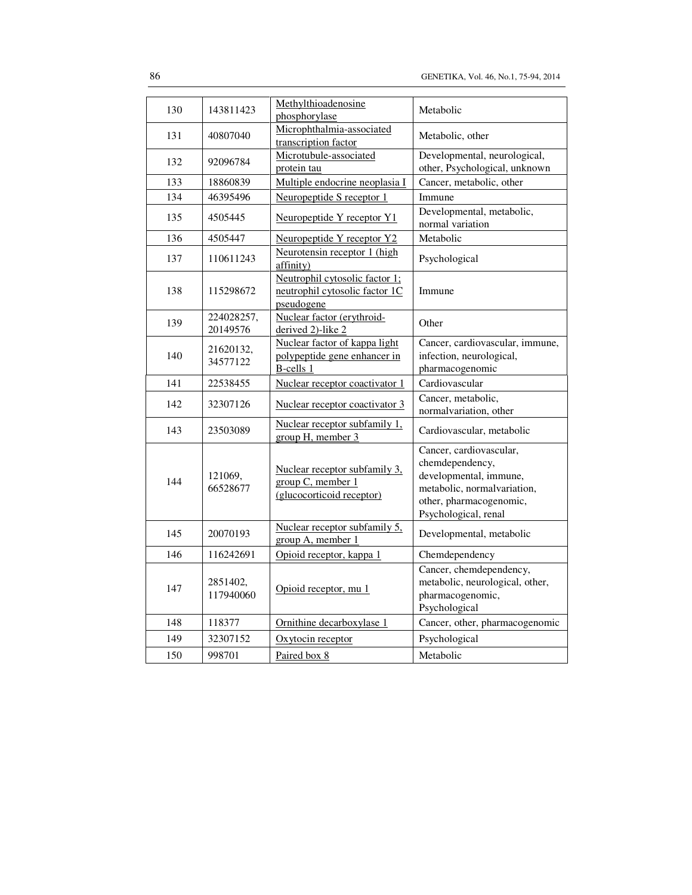| 130 | 143811423              | Methylthioadenosine<br>phosphorylase                                            | Metabolic                                                                                                                                              |
|-----|------------------------|---------------------------------------------------------------------------------|--------------------------------------------------------------------------------------------------------------------------------------------------------|
| 131 | 40807040               | Microphthalmia-associated<br>transcription factor                               | Metabolic, other                                                                                                                                       |
| 132 | 92096784               | Microtubule-associated<br>protein tau                                           | Developmental, neurological,<br>other, Psychological, unknown                                                                                          |
| 133 | 18860839               | Multiple endocrine neoplasia I                                                  | Cancer, metabolic, other                                                                                                                               |
| 134 | 46395496               | Neuropeptide S receptor 1                                                       | Immune                                                                                                                                                 |
| 135 | 4505445                | Neuropeptide Y receptor Y1                                                      | Developmental, metabolic,<br>normal variation                                                                                                          |
| 136 | 4505447                | Neuropeptide Y receptor Y2                                                      | Metabolic                                                                                                                                              |
| 137 | 110611243              | Neurotensin receptor 1 (high<br>affinity)                                       | Psychological                                                                                                                                          |
| 138 | 115298672              | Neutrophil cytosolic factor 1;<br>neutrophil cytosolic factor 1C<br>pseudogene  | Immune                                                                                                                                                 |
| 139 | 224028257,<br>20149576 | Nuclear factor (erythroid-<br>derived 2)-like 2                                 | Other                                                                                                                                                  |
| 140 | 21620132,<br>34577122  | Nuclear factor of kappa light<br>polypeptide gene enhancer in<br>B-cells 1      | Cancer, cardiovascular, immune,<br>infection, neurological,<br>pharmacogenomic                                                                         |
| 141 | 22538455               | Nuclear receptor coactivator 1                                                  | Cardiovascular                                                                                                                                         |
| 142 | 32307126               | Nuclear receptor coactivator 3                                                  | Cancer, metabolic,<br>normalvariation, other                                                                                                           |
| 143 | 23503089               | Nuclear receptor subfamily 1,<br>group H, member 3                              | Cardiovascular, metabolic                                                                                                                              |
| 144 | 121069,<br>66528677    | Nuclear receptor subfamily 3,<br>group C, member 1<br>(glucocorticoid receptor) | Cancer, cardiovascular,<br>chemdependency,<br>developmental, immune,<br>metabolic, normalvariation,<br>other, pharmacogenomic,<br>Psychological, renal |
| 145 | 20070193               | Nuclear receptor subfamily 5,<br>group A, member 1                              | Developmental, metabolic                                                                                                                               |
| 146 | 116242691              | Opioid receptor, kappa 1                                                        | Chemdependency                                                                                                                                         |
| 147 | 2851402,<br>117940060  | Opioid receptor, mu 1                                                           | Cancer, chemdependency,<br>metabolic, neurological, other,<br>pharmacogenomic,<br>Psychological                                                        |
| 148 | 118377                 | Ornithine decarboxylase 1                                                       | Cancer, other, pharmacogenomic                                                                                                                         |
| 149 | 32307152               | Oxytocin receptor                                                               | Psychological                                                                                                                                          |
| 150 | 998701                 | Paired box 8                                                                    | Metabolic                                                                                                                                              |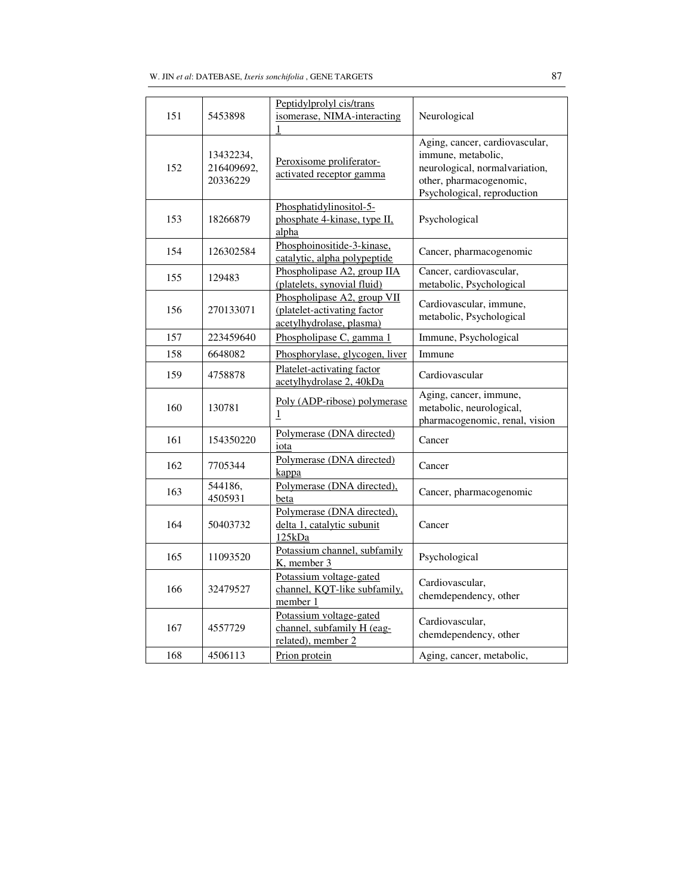| 151 | 5453898                             | Peptidylprolyl cis/trans<br>isomerase, NIMA-interacting<br>1                           | Neurological                                                                                                                                     |
|-----|-------------------------------------|----------------------------------------------------------------------------------------|--------------------------------------------------------------------------------------------------------------------------------------------------|
| 152 | 13432234,<br>216409692,<br>20336229 | Peroxisome proliferator-<br>activated receptor gamma                                   | Aging, cancer, cardiovascular,<br>immune, metabolic,<br>neurological, normalvariation,<br>other, pharmacogenomic,<br>Psychological, reproduction |
| 153 | 18266879                            | Phosphatidylinositol-5-<br>phosphate 4-kinase, type II,<br>alpha                       | Psychological                                                                                                                                    |
| 154 | 126302584                           | Phosphoinositide-3-kinase,<br>catalytic, alpha polypeptide                             | Cancer, pharmacogenomic                                                                                                                          |
| 155 | 129483                              | Phospholipase A2, group IIA<br>(platelets, synovial fluid)                             | Cancer, cardiovascular,<br>metabolic, Psychological                                                                                              |
| 156 | 270133071                           | Phospholipase A2, group VII<br>(platelet-activating factor<br>acetylhydrolase, plasma) | Cardiovascular, immune,<br>metabolic, Psychological                                                                                              |
| 157 | 223459640                           | Phospholipase C, gamma 1                                                               | Immune, Psychological                                                                                                                            |
| 158 | 6648082                             | Phosphorylase, glycogen, liver                                                         | Immune                                                                                                                                           |
| 159 | 4758878                             | Platelet-activating factor<br>acetylhydrolase 2, 40kDa                                 | Cardiovascular                                                                                                                                   |
| 160 | 130781                              | Poly (ADP-ribose) polymerase<br>$\mathbf{1}$                                           | Aging, cancer, immune,<br>metabolic, neurological,<br>pharmacogenomic, renal, vision                                                             |
| 161 | 154350220                           | Polymerase (DNA directed)<br>iota                                                      | Cancer                                                                                                                                           |
| 162 | 7705344                             | Polymerase (DNA directed)<br>kappa                                                     | Cancer                                                                                                                                           |
| 163 | 544186,<br>4505931                  | Polymerase (DNA directed),<br>beta                                                     | Cancer, pharmacogenomic                                                                                                                          |
| 164 | 50403732                            | Polymerase (DNA directed),<br>delta 1, catalytic subunit<br>125kDa                     | Cancer                                                                                                                                           |
| 165 | 11093520                            | Potassium channel, subfamily<br>K, member 3                                            | Psychological                                                                                                                                    |
| 166 | 32479527                            | Potassium voltage-gated<br>channel, KQT-like subfamily,<br>member 1                    | Cardiovascular,<br>chemdependency, other                                                                                                         |
| 167 | 4557729                             | Potassium voltage-gated<br>channel, subfamily H (eag-<br>related), member 2            | Cardiovascular,<br>chemdependency, other                                                                                                         |
| 168 | 4506113                             | Prion protein                                                                          | Aging, cancer, metabolic,                                                                                                                        |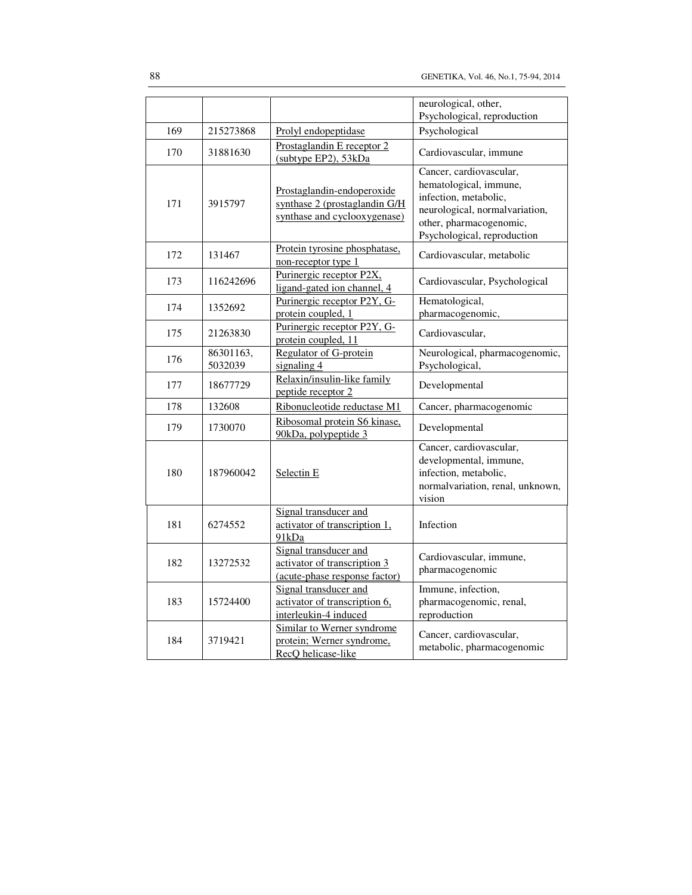|     |                      |                                                                                             | neurological, other,                                                                                                                                                   |
|-----|----------------------|---------------------------------------------------------------------------------------------|------------------------------------------------------------------------------------------------------------------------------------------------------------------------|
| 169 | 215273868            | Prolyl endopeptidase                                                                        | Psychological, reproduction<br>Psychological                                                                                                                           |
|     |                      |                                                                                             |                                                                                                                                                                        |
| 170 | 31881630             | Prostaglandin E receptor 2<br>(subtype EP2), 53kDa                                          | Cardiovascular, immune                                                                                                                                                 |
| 171 | 3915797              | Prostaglandin-endoperoxide<br>synthase 2 (prostaglandin G/H<br>synthase and cyclooxygenase) | Cancer, cardiovascular,<br>hematological, immune,<br>infection, metabolic,<br>neurological, normalvariation,<br>other, pharmacogenomic,<br>Psychological, reproduction |
| 172 | 131467               | Protein tyrosine phosphatase,<br>non-receptor type 1                                        | Cardiovascular, metabolic                                                                                                                                              |
| 173 | 116242696            | Purinergic receptor P2X,<br>ligand-gated ion channel, 4                                     | Cardiovascular, Psychological                                                                                                                                          |
| 174 | 1352692              | Purinergic receptor P2Y, G-<br>protein coupled, 1                                           | Hematological,<br>pharmacogenomic,                                                                                                                                     |
| 175 | 21263830             | Purinergic receptor P2Y, G-<br>protein coupled, 11                                          | Cardiovascular,                                                                                                                                                        |
| 176 | 86301163,<br>5032039 | Regulator of G-protein<br>signaling 4                                                       | Neurological, pharmacogenomic,<br>Psychological,                                                                                                                       |
| 177 | 18677729             | Relaxin/insulin-like family<br>peptide receptor 2                                           | Developmental                                                                                                                                                          |
| 178 | 132608               | Ribonucleotide reductase M1                                                                 | Cancer, pharmacogenomic                                                                                                                                                |
| 179 | 1730070              | Ribosomal protein S6 kinase.<br>90kDa, polypeptide 3                                        | Developmental                                                                                                                                                          |
| 180 | 187960042            | Selectin <sub>E</sub>                                                                       | Cancer, cardiovascular,<br>developmental, immune,<br>infection, metabolic,<br>normalvariation, renal, unknown,<br>vision                                               |
| 181 | 6274552              | Signal transducer and<br>activator of transcription 1,<br>91kDa                             | Infection                                                                                                                                                              |
| 182 | 13272532             | Signal transducer and<br>activator of transcription 3<br>(acute-phase response factor)      | Cardiovascular, immune,<br>pharmacogenomic                                                                                                                             |
| 183 | 15724400             | Signal transducer and<br>activator of transcription 6,<br>interleukin-4 induced             | Immune, infection,<br>pharmacogenomic, renal,<br>reproduction                                                                                                          |
| 184 | 3719421              | Similar to Werner syndrome<br>protein; Werner syndrome,<br>RecQ helicase-like               | Cancer, cardiovascular,<br>metabolic, pharmacogenomic                                                                                                                  |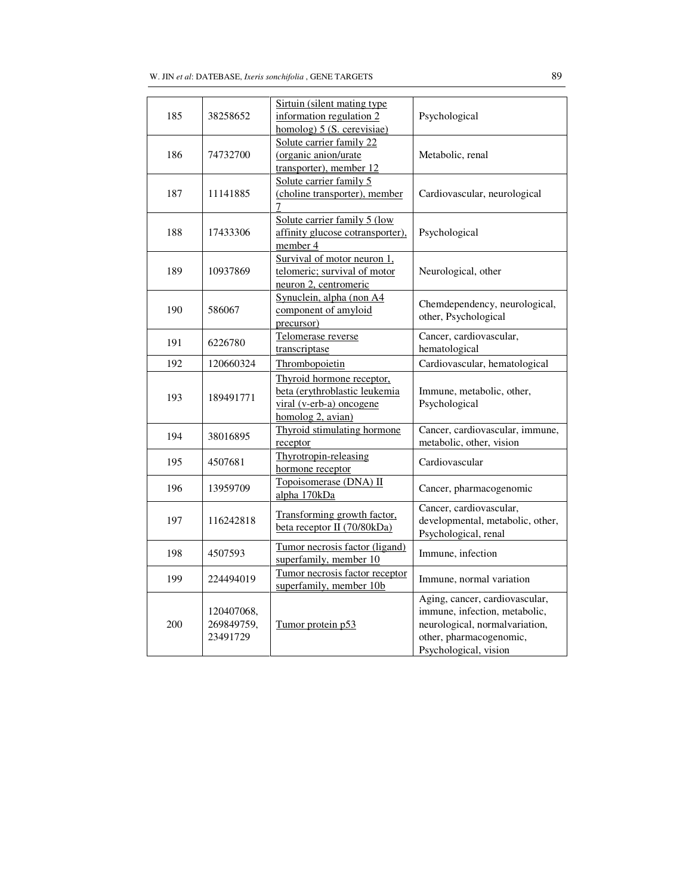| 185 | 38258652                             | Sirtuin (silent mating type)<br>information regulation 2<br>homolog) $5$ (S. cerevisiae)                    | Psychological                                                                                                                                         |
|-----|--------------------------------------|-------------------------------------------------------------------------------------------------------------|-------------------------------------------------------------------------------------------------------------------------------------------------------|
| 186 | 74732700                             | Solute carrier family 22<br>(organic anion/urate<br>transporter), member 12                                 | Metabolic, renal                                                                                                                                      |
| 187 | 11141885                             | Solute carrier family 5<br>(choline transporter), member<br>7                                               | Cardiovascular, neurological                                                                                                                          |
| 188 | 17433306                             | Solute carrier family 5 (low<br>affinity glucose cotransporter),<br>member 4                                | Psychological                                                                                                                                         |
| 189 | 10937869                             | Survival of motor neuron 1,<br>telomeric; survival of motor<br>neuron 2, centromeric                        | Neurological, other                                                                                                                                   |
| 190 | 586067                               | Synuclein, alpha (non A4<br>component of amyloid<br>precursor)                                              | Chemdependency, neurological,<br>other, Psychological                                                                                                 |
| 191 | 6226780                              | Telomerase reverse<br>transcriptase                                                                         | Cancer, cardiovascular,<br>hematological                                                                                                              |
| 192 | 120660324                            | Thrombopoietin                                                                                              | Cardiovascular, hematological                                                                                                                         |
| 193 | 189491771                            | Thyroid hormone receptor,<br>beta (erythroblastic leukemia<br>viral (v-erb-a) oncogene<br>homolog 2, avian) | Immune, metabolic, other,<br>Psychological                                                                                                            |
| 194 | 38016895                             | Thyroid stimulating hormone<br>receptor                                                                     | Cancer, cardiovascular, immune,<br>metabolic, other, vision                                                                                           |
| 195 | 4507681                              | Thyrotropin-releasing<br>hormone receptor                                                                   | Cardiovascular                                                                                                                                        |
| 196 | 13959709                             | Topoisomerase (DNA) II<br>alpha 170kDa                                                                      | Cancer, pharmacogenomic                                                                                                                               |
| 197 | 116242818                            | Transforming growth factor,<br>beta receptor II (70/80kDa)                                                  | Cancer, cardiovascular,<br>developmental, metabolic, other,<br>Psychological, renal                                                                   |
| 198 | 4507593                              | Tumor necrosis factor (ligand)<br>superfamily, member 10                                                    | Immune, infection                                                                                                                                     |
| 199 | 224494019                            | Tumor necrosis factor receptor<br>superfamily, member 10b                                                   | Immune, normal variation                                                                                                                              |
| 200 | 120407068,<br>269849759,<br>23491729 | Tumor protein p53                                                                                           | Aging, cancer, cardiovascular,<br>immune, infection, metabolic,<br>neurological, normalvariation,<br>other, pharmacogenomic,<br>Psychological, vision |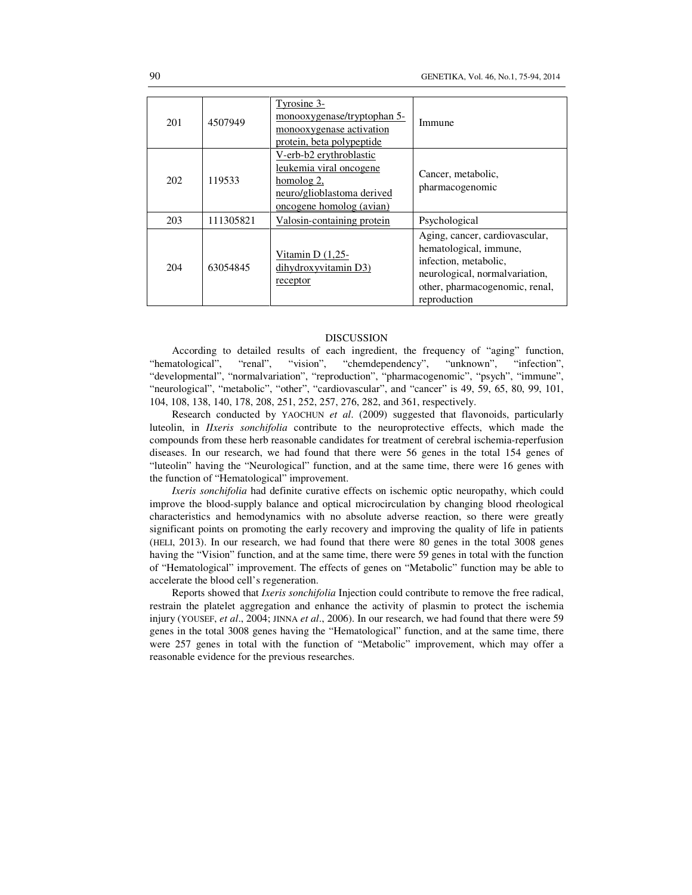| 201 | 4507949   | Tyrosine 3-<br>monooxygenase/tryptophan 5-<br>monooxygenase activation<br>protein, beta polypeptide                        | Immune                                                                                                                                                                 |
|-----|-----------|----------------------------------------------------------------------------------------------------------------------------|------------------------------------------------------------------------------------------------------------------------------------------------------------------------|
| 202 | 119533    | V-erb-b2 erythroblastic<br>leukemia viral oncogene<br>homolog 2,<br>neuro/glioblastoma derived<br>oncogene homolog (avian) | Cancer, metabolic,<br>pharmacogenomic                                                                                                                                  |
| 203 | 111305821 | Valosin-containing protein                                                                                                 | Psychological                                                                                                                                                          |
| 204 | 63054845  | Vitamin D $(1,25-$<br>dihydroxyvitamin D3)<br>receptor                                                                     | Aging, cancer, cardiovascular,<br>hematological, immune,<br>infection, metabolic,<br>neurological, normal variation,<br>other, pharmacogenomic, renal,<br>reproduction |

### DISCUSSION

According to detailed results of each ingredient, the frequency of "aging" function, "hematological", "renal", "vision", "chemdependency", "unknown", "infection", "developmental", "normalvariation", "reproduction", "pharmacogenomic", "psych", "immune", "neurological", "metabolic", "other", "cardiovascular", and "cancer" is 49, 59, 65, 80, 99, 101, 104, 108, 138, 140, 178, 208, 251, 252, 257, 276, 282, and 361, respectively.

Research conducted by YAOCHUN *et al*. (2009) suggested that flavonoids, particularly luteolin, in *IIxeris sonchifolia* contribute to the neuroprotective effects, which made the compounds from these herb reasonable candidates for treatment of cerebral ischemia-reperfusion diseases. In our research, we had found that there were 56 genes in the total 154 genes of "luteolin" having the "Neurological" function, and at the same time, there were 16 genes with the function of "Hematological" improvement.

*Ixeris sonchifolia* had definite curative effects on ischemic optic neuropathy, which could improve the blood-supply balance and optical microcirculation by changing blood rheological characteristics and hemodynamics with no absolute adverse reaction, so there were greatly significant points on promoting the early recovery and improving the quality of life in patients (HELI, 2013). In our research, we had found that there were 80 genes in the total 3008 genes having the "Vision" function, and at the same time, there were 59 genes in total with the function of "Hematological" improvement. The effects of genes on "Metabolic" function may be able to accelerate the blood cell's regeneration.

Reports showed that *Ixeris sonchifolia* Injection could contribute to remove the free radical, restrain the platelet aggregation and enhance the activity of plasmin to protect the ischemia injury (YOUSEF, *et al*., 2004; JINNA *et al*., 2006). In our research, we had found that there were 59 genes in the total 3008 genes having the "Hematological" function, and at the same time, there were 257 genes in total with the function of "Metabolic" improvement, which may offer a reasonable evidence for the previous researches.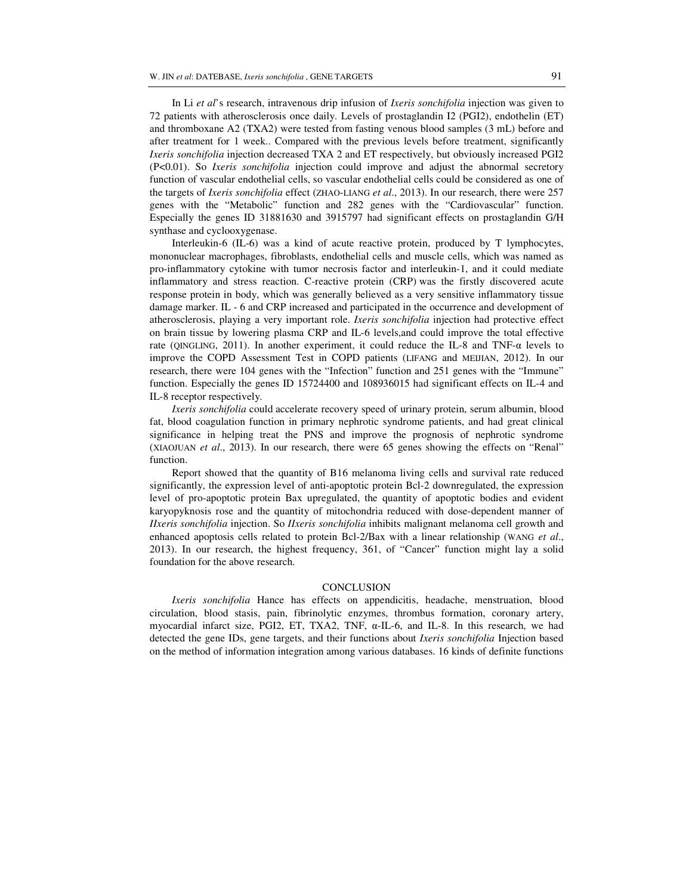In Li *et al*'s research, intravenous drip infusion of *Ixeris sonchifolia* injection was given to 72 patients with atherosclerosis once daily. Levels of prostaglandin I2 (PGI2), endothelin (ET) and thromboxane A2 (TXA2) were tested from fasting venous blood samples (3 mL) before and after treatment for 1 week.. Compared with the previous levels before treatment, significantly *Ixeris sonchifolia* injection decreased TXA 2 and ET respectively, but obviously increased PGI2 (P<0.01). So *Ixeris sonchifolia* injection could improve and adjust the abnormal secretory function of vascular endothelial cells, so vascular endothelial cells could be considered as one of the targets of *Ixeris sonchifolia* effect (ZHAO-LIANG *et al*., 2013). In our research, there were 257 genes with the "Metabolic" function and 282 genes with the "Cardiovascular" function. Especially the genes ID 31881630 and 3915797 had significant effects on prostaglandin G/H synthase and cyclooxygenase.

Interleukin-6 (IL-6) was a kind of acute reactive protein, produced by T lymphocytes, mononuclear macrophages, fibroblasts, endothelial cells and muscle cells, which was named as pro-inflammatory cytokine with tumor necrosis factor and interleukin-1, and it could mediate inflammatory and stress reaction. C-reactive protein (CRP) was the firstly discovered acute response protein in body, which was generally believed as a very sensitive inflammatory tissue damage marker. IL - 6 and CRP increased and participated in the occurrence and development of atherosclerosis, playing a very important role. *Ixeris sonchifolia* injection had protective effect on brain tissue by lowering plasma CRP and IL-6 levels,and could improve the total effective rate (QINGLING, 2011). In another experiment, it could reduce the IL-8 and TNF- $\alpha$  levels to improve the COPD Assessment Test in COPD patients (LIFANG and MEIJIAN, 2012). In our research, there were 104 genes with the "Infection" function and 251 genes with the "Immune" function. Especially the genes ID 15724400 and 108936015 had significant effects on IL-4 and IL-8 receptor respectively.

*Ixeris sonchifolia* could accelerate recovery speed of urinary protein, serum albumin, blood fat, blood coagulation function in primary nephrotic syndrome patients, and had great clinical significance in helping treat the PNS and improve the prognosis of nephrotic syndrome (XIAOJUAN *et al*., 2013). In our research, there were 65 genes showing the effects on "Renal" function.

Report showed that the quantity of B16 melanoma living cells and survival rate reduced significantly, the expression level of anti-apoptotic protein Bcl-2 downregulated, the expression level of pro-apoptotic protein Bax upregulated, the quantity of apoptotic bodies and evident karyopyknosis rose and the quantity of mitochondria reduced with dose-dependent manner of *IIxeris sonchifolia* injection. So *IIxeris sonchifolia* inhibits malignant melanoma cell growth and enhanced apoptosis cells related to protein Bcl-2/Bax with a linear relationship (WANG *et al*., 2013). In our research, the highest frequency, 361, of "Cancer" function might lay a solid foundation for the above research.

### **CONCLUSION**

*Ixeris sonchifolia* Hance has effects on appendicitis, headache, menstruation, blood circulation, blood stasis, pain, fibrinolytic enzymes, thrombus formation, coronary artery, myocardial infarct size, PGI2, ET, TXA2, TNF, α-IL-6, and IL-8. In this research, we had detected the gene IDs, gene targets, and their functions about *Ixeris sonchifolia* Injection based on the method of information integration among various databases. 16 kinds of definite functions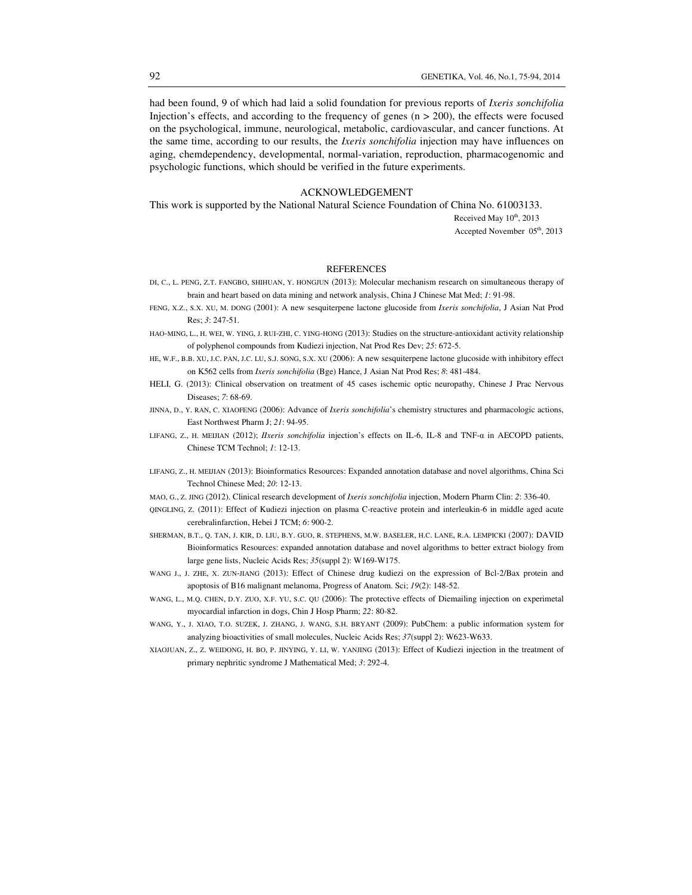had been found, 9 of which had laid a solid foundation for previous reports of *Ixeris sonchifolia* Injection's effects, and according to the frequency of genes  $(n > 200)$ , the effects were focused on the psychological, immune, neurological, metabolic, cardiovascular, and cancer functions. At the same time, according to our results, the *Ixeris sonchifolia* injection may have influences on aging, chemdependency, developmental, normal-variation, reproduction, pharmacogenomic and psychologic functions, which should be verified in the future experiments.

## ACKNOWLEDGEMENT

This work is supported by the National Natural Science Foundation of China No. 61003133.

Received May  $10^{th}$ , 2013

Accepted November 05<sup>th</sup>, 2013

## **REFERENCES**

- DI, C., L. PENG, Z.T. FANGBO, SHIHUAN, Y. HONGJUN (2013): Molecular mechanism research on simultaneous therapy of brain and heart based on data mining and network analysis, China J Chinese Mat Med; *1*: 91-98.
- FENG, X.Z., S.X. XU, M. DONG (2001): A new sesquiterpene lactone glucoside from *Ixeris sonchifolia*, J Asian Nat Prod Res; *3*: 247-51.
- HAO-MING, L., H. WEI, W. YING, J. RUI-ZHI, C. YING-HONG (2013): Studies on the structure-antioxidant activity relationship of polyphenol compounds from Kudiezi injection, Nat Prod Res Dev; *25*: 672-5.
- HE, W.F., B.B. XU, J.C. PAN, J.C. LU, S.J. SONG, S.X. XU (2006): A new sesquiterpene lactone glucoside with inhibitory effect on K562 cells from *Ixeris sonchifolia* (Bge) Hance, J Asian Nat Prod Res; *8*: 481-484.
- HELI, G. (2013): Clinical observation on treatment of 45 cases ischemic optic neuropathy, Chinese J Prac Nervous Diseases; *7*: 68-69.
- JINNA, D., Y. RAN, C. XIAOFENG (2006): Advance of *Ixeris sonchifolia*'s chemistry structures and pharmacologic actions, East Northwest Pharm J; *21*: 94-95.
- LIFANG, Z., H. MEIJIAN (2012); *IIxeris sonchifolia* injection's effects on IL-6, IL-8 and TNF-α in AECOPD patients, Chinese TCM Technol; *1*: 12-13.
- LIFANG, Z., H. MEIJIAN (2013): Bioinformatics Resources: Expanded annotation database and novel algorithms, China Sci Technol Chinese Med; *20*: 12-13.
- MAO, G., Z. JING (2012). Clinical research development of *Ixeris sonchifolia* injection, Modern Pharm Clin: *2*: 336-40.
- QINGLING, Z. (2011): Effect of Kudiezi injection on plasma C-reactive protein and interleukin-6 in middle aged acute cerebralinfarction, Hebei J TCM; *6*: 900-2.
- SHERMAN, B.T., Q. TAN, J. KIR, D. LIU, B.Y. GUO, R. STEPHENS, M.W. BASELER, H.C. LANE, R.A. LEMPICKI (2007): DAVID Bioinformatics Resources: expanded annotation database and novel algorithms to better extract biology from large gene lists, Nucleic Acids Res; *35*(suppl 2): W169-W175.
- WANG J., J. ZHE, X. ZUN-JIANG (2013): Effect of Chinese drug kudiezi on the expression of Bcl-2/Bax protein and apoptosis of B16 malignant melanoma, Progress of Anatom. Sci; *19*(2): 148-52.
- WANG, L., M.Q. CHEN, D.Y. ZUO, X.F. YU, S.C. QU (2006): The protective effects of Diemailing injection on experimetal myocardial infarction in dogs, Chin J Hosp Pharm; *22*: 80-82.
- WANG, Y., J. XIAO, T.O. SUZEK, J. ZHANG, J. WANG, S.H. BRYANT (2009): PubChem: a public information system for analyzing bioactivities of small molecules, Nucleic Acids Res; *37*(suppl 2): W623-W633.
- XIAOJUAN, Z., Z. WEIDONG, H. BO, P. JINYING, Y. LI, W. YANJING (2013): Effect of Kudiezi injection in the treatment of primary nephritic syndrome J Mathematical Med; *3*: 292-4.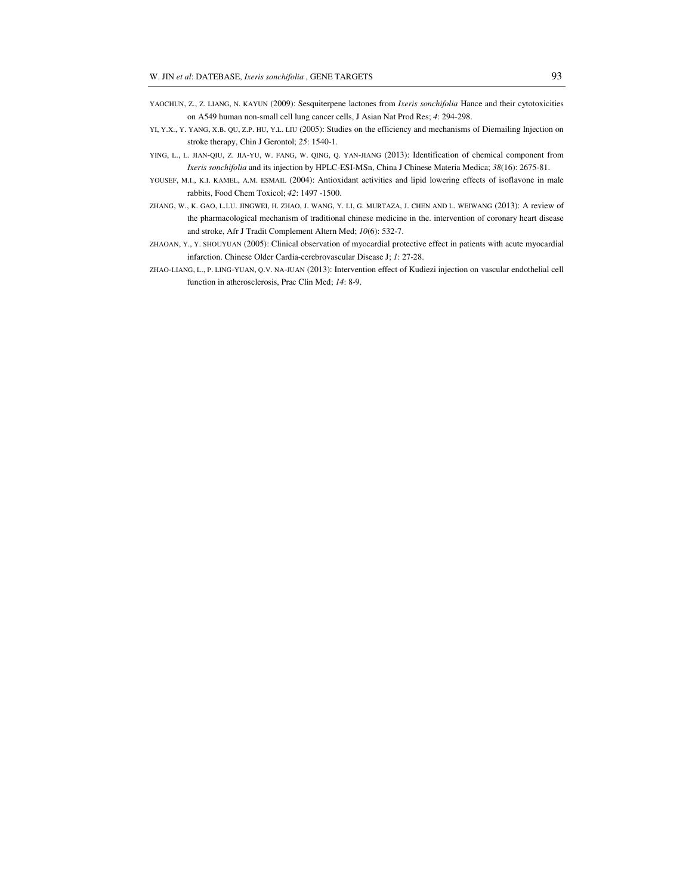- YAOCHUN, Z., Z. LIANG, N. KAYUN (2009): Sesquiterpene lactones from *Ixeris sonchifolia* Hance and their cytotoxicities on A549 human non-small cell lung cancer cells, J Asian Nat Prod Res; *4*: 294-298.
- YI, Y.X., Y. YANG, X.B. QU, Z.P. HU, Y.L. LIU (2005): Studies on the efficiency and mechanisms of Diemailing Injection on stroke therapy, Chin J Gerontol; *25*: 1540-1.
- YING, L., L. JIAN-QIU, Z. JIA-YU, W. FANG, W. QING, Q. YAN-JIANG (2013): Identification of chemical component from *Ixeris sonchifolia* and its injection by HPLC-ESI-MSn, China J Chinese Materia Medica; *38*(16): 2675-81.
- YOUSEF, M.I., K.I. KAMEL, A.M. ESMAIL (2004): Antioxidant activities and lipid lowering effects of isoflavone in male rabbits, Food Chem Toxicol; *42*: 1497 -1500.
- ZHANG, W., K. GAO, L.I.U. JINGWEI, H. ZHAO, J. WANG, Y. LI, G. MURTAZA, J. CHEN AND L. WEIWANG (2013): A review of the pharmacological mechanism of traditional chinese medicine in the. intervention of coronary heart disease and stroke, Afr J Tradit Complement Altern Med; *10*(6): 532-7.
- ZHAOAN, Y., Y. SHOUYUAN (2005): Clinical observation of myocardial protective effect in patients with acute myocardial infarction. Chinese Older Cardia-cerebrovascular Disease J; *1*: 27-28.
- ZHAO-LIANG, L., P. LING-YUAN, Q.V. NA-JUAN (2013): Intervention effect of Kudiezi injection on vascular endothelial cell function in atherosclerosis, Prac Clin Med; *14*: 8-9.